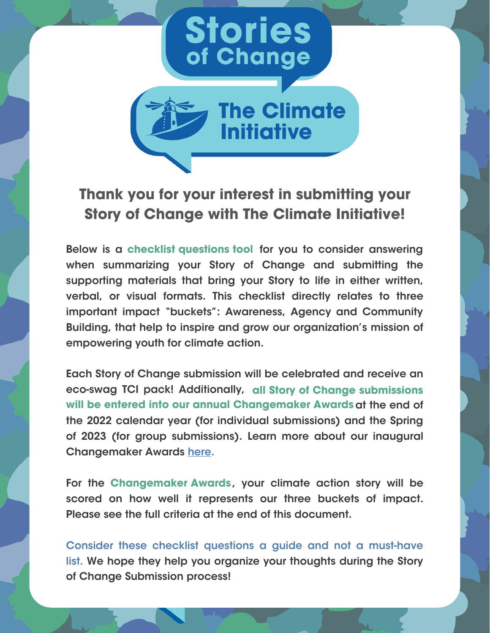



#### **Thank you for your interest in submitting your Story of Change with The Climate Initiative!**

Below is a checklist questions tool for you to consider answering **checklist questions tool** when summarizing your Story of Change and submitting the supporting materials that bring your Story to life in either written, verbal, or visual formats. This checklist directly relates to three important impact "buckets": Awareness, Agency and Community Building, that help to inspire and grow our organization's mission of empowering youth for climate action.

Each Story of Change submission will be celebrated and receive an eco-swag TCI pack! Additionally, all Story of Change submissions **all Story of Change submissions** will be entered into our annual Changemaker Awards at the end of **will be entered into our annual Changemaker Awards** the 2022 calendar year (for individual submissions) and the Spring of 2023 (for group submissions). Learn more about our inaugural Changemaker Awards [here](https://www.theclimateinitiative.org/programs/competitions/).

For the Changemaker Awards, your climate action story will be **Changemaker Awards**scored on how well it represents our three buckets of impact. Please see the full criteria at the end of this document.

Consider these checklist questions a guide and not a must-have list. We hope they help you organize your thoughts during the Story of Change Submission process!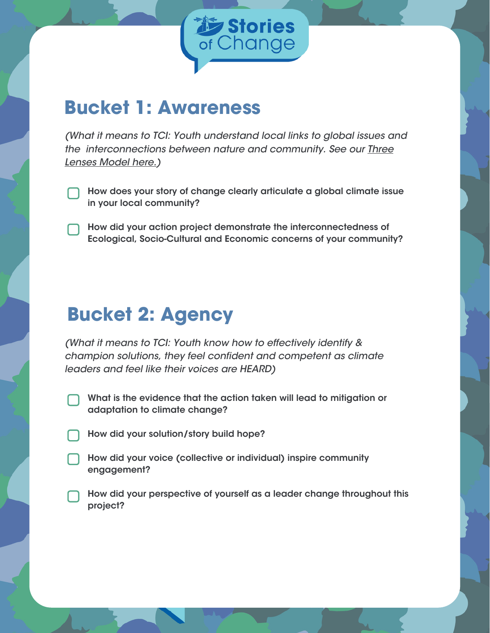

### **Bucket 1: Awareness**

(What it means to TCI: Youth understand local links to global issues and the [interconnections](https://www.theclimateinitiative.org/wp-content/uploads/2022/04/3-Lenses.pdf) between nature and community. See our **Three** Lenses Model here.)

- How does your story of change clearly articulate a global climate issue in your local community?
- How did your action project demonstrate the interconnectedness of Ecological, Socio-Cultural and Economic concerns of your community?

# **Bucket 2: Agency**

(What it means to TCI: Youth know how to effectively identify & champion solutions, they feel confident and competent as climate leaders and feel like their voices are HEARD)

- What is the evidence that the action taken will lead to mitigation or adaptation to climate change?
- How did your solution/story build hope?
- How did your voice (collective or individual) inspire community engagement?
- How did your perspective of yourself as a leader change throughout this project?